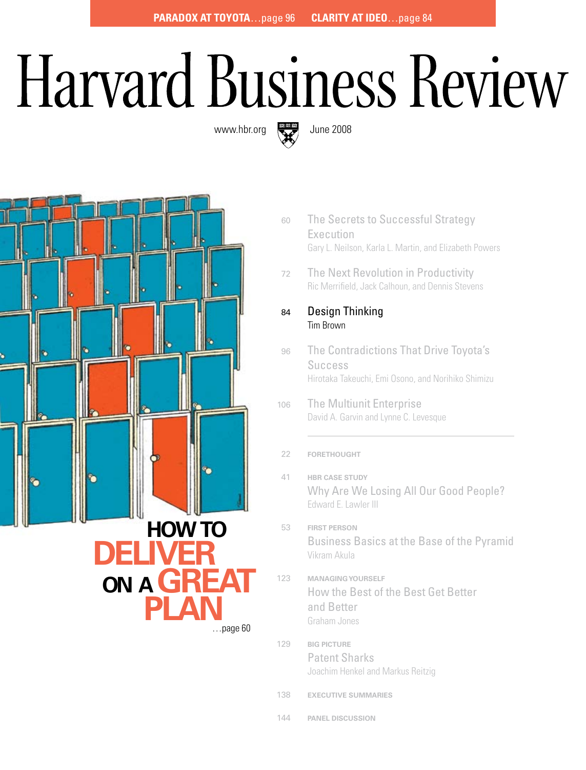# Harvard Business Review





- 60 The Secrets to Successful Strategy Execution Gary L. Neilson, Karla L. Martin, and Elizabeth Powers
- 72 The Next Revolution in Productivity Ric Merrifield, Jack Calhoun, and Dennis Stevens
- 84 Design Thinking Tim Brown
- 96 The Contradictions That Drive Toyota's Success Hirotaka Takeuchi, Emi Osono, and Norihiko Shimizu
- 106 The Multiunit Enterprise David A. Garvin and Lynne C. Levesque

# 22 **Forethought**

- 41 **HBR Case Study** Why Are We Losing All Our Good People? Edward E. Lawler III
- 53 **First Person** Business Basics at the Base of the Pyramid Vikram Akula
- 123 **MANAGING YOURSELF** How the Best of the Best Get Better and Better Graham Jones
- 129 **BIG PICTURE**  Patent Sharks Joachim Henkel and Markus Reitzig
- 138 **Executive Summaries**
- 144 **Panel Discussion**

…page 60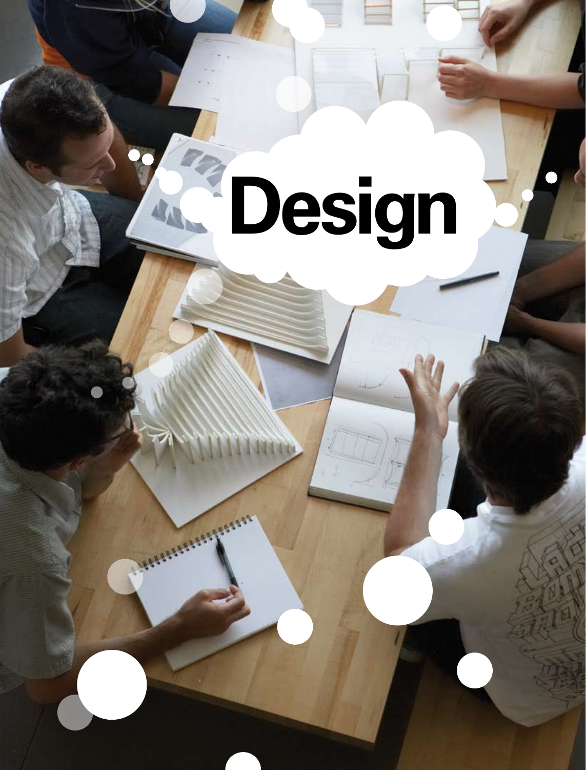# **Design**

ASSESSMENT RESERVE

Art Credit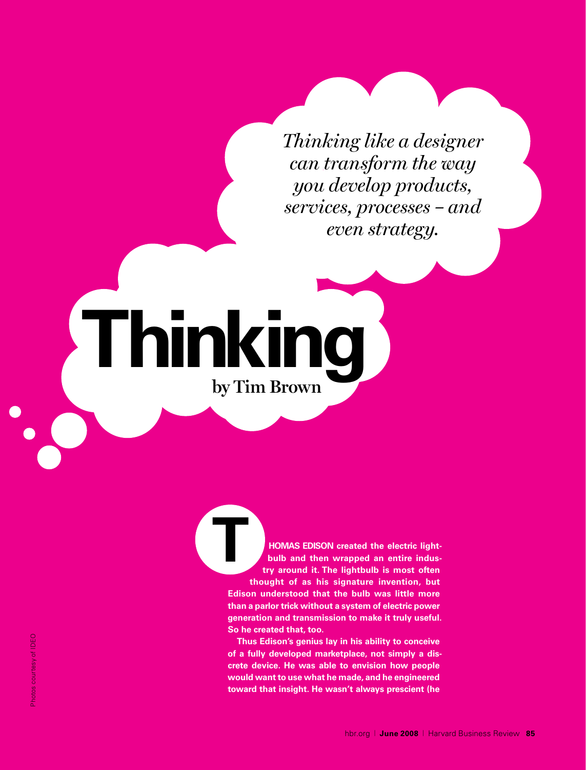*Thinking like a designer can transform the way you develop products, services, processes – and even strategy.*

**HOMAS EDISON created the electric lightbulb and then wrapped an entire industry around it. The lightbulb is most often thought of as his signature invention, but Edison understood that the bulb was little more than a parlor trick without a system of electric power generation and transmission to make it truly useful. So he created that, too. T**

**by Tim Brown**

**Thinking**

**Thus Edison's genius lay in his ability to conceive of a fully developed marketplace, not simply a discrete device. He was able to envision how people would want to use what he made, and he engineered toward that insight. He wasn't always prescient (he**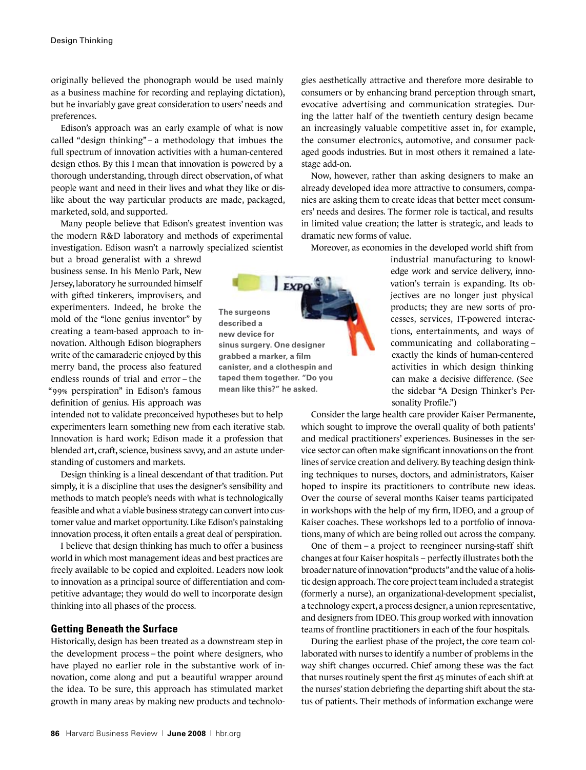originally believed the phonograph would be used mainly as a business machine for recording and replaying dictation), but he invariably gave great consideration to users' needs and preferences.

Edison's approach was an early example of what is now called "design thinking" – a methodology that imbues the full spectrum of innovation activities with a human-centered design ethos. By this I mean that innovation is powered by a thorough understanding, through direct observation, of what people want and need in their lives and what they like or dislike about the way particular products are made, packaged, marketed, sold, and supported.

Many people believe that Edison's greatest invention was the modern R&D laboratory and methods of experimental investigation. Edison wasn't a narrowly specialized scientist

but a broad generalist with a shrewd business sense. In his Menlo Park, New Jersey, laboratory he surrounded himself with gifted tinkerers, improvisers, and experimenters. Indeed, he broke the mold of the "lone genius inventor" by creating a team-based approach to innovation. Although Edison biographers write of the camaraderie enjoyed by this merry band, the process also featured endless rounds of trial and error – the "99% perspiration" in Edison's famous definition of genius. His approach was

intended not to validate preconceived hypotheses but to help experimenters learn something new from each iterative stab. Innovation is hard work; Edison made it a profession that blended art, craft, science, business savvy, and an astute understanding of customers and markets.

Design thinking is a lineal descendant of that tradition. Put simply, it is a discipline that uses the designer's sensibility and methods to match people's needs with what is technologically feasible and what a viable business strategy can convert into customer value and market opportunity. Like Edison's painstaking innovation process, it often entails a great deal of perspiration.

I believe that design thinking has much to offer a business world in which most management ideas and best practices are freely available to be copied and exploited. Leaders now look to innovation as a principal source of differentiation and competitive advantage; they would do well to incorporate design thinking into all phases of the process.

# **Getting Beneath the Surface**

Historically, design has been treated as a downstream step in the development process – the point where designers, who have played no earlier role in the substantive work of innovation, come along and put a beautiful wrapper around the idea. To be sure, this approach has stimulated market growth in many areas by making new products and technologies aesthetically attractive and therefore more desirable to consumers or by enhancing brand perception through smart, evocative advertising and communication strategies. During the latter half of the twentieth century design became an increasingly valuable competitive asset in, for example, the consumer electronics, automotive, and consumer packaged goods industries. But in most others it remained a latestage add-on.

Now, however, rather than asking designers to make an already developed idea more attractive to consumers, companies are asking them to create ideas that better meet consumers' needs and desires. The former role is tactical, and results in limited value creation; the latter is strategic, and leads to dramatic new forms of value.

Moreover, as economies in the developed world shift from

industrial manufacturing to knowledge work and service delivery, innovation's terrain is expanding. Its objectives are no longer just physical products; they are new sorts of processes, services, IT-powered interactions, entertainments, and ways of communicating and collaborating – exactly the kinds of human-centered activities in which design thinking can make a decisive difference. (See the sidebar "A Design Thinker's Personality Profile.")

Consider the large health care provider Kaiser Permanente, which sought to improve the overall quality of both patients' and medical practitioners' experiences. Businesses in the service sector can often make significant innovations on the front lines of service creation and delivery. By teaching design thinking techniques to nurses, doctors, and administrators, Kaiser hoped to inspire its practitioners to contribute new ideas. Over the course of several months Kaiser teams participated in workshops with the help of my firm, IDEO, and a group of Kaiser coaches. These workshops led to a portfolio of innovations, many of which are being rolled out across the company.

One of them – a project to reengineer nursing-staff shift changes at four Kaiser hospitals – perfectly illustrates both the broader nature of innovation "products" and the value of a holistic design approach. The core project team included a strategist (formerly a nurse), an organizational-development specialist, a technology expert, a process designer, a union representative, and designers from IDEO. This group worked with innovation teams of frontline practitioners in each of the four hospitals.

During the earliest phase of the project, the core team collaborated with nurses to identify a number of problems in the way shift changes occurred. Chief among these was the fact that nurses routinely spent the first 45 minutes of each shift at the nurses' station debriefing the departing shift about the status of patients. Their methods of information exchange were

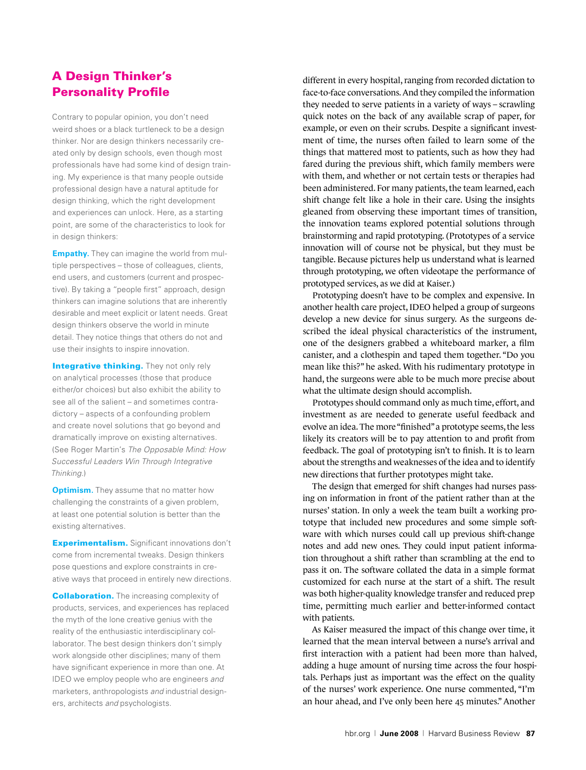# A Design Thinker's Personality Profile

Contrary to popular opinion, you don't need weird shoes or a black turtleneck to be a design thinker. Nor are design thinkers necessarily created only by design schools, even though most professionals have had some kind of design training. My experience is that many people outside professional design have a natural aptitude for design thinking, which the right development and experiences can unlock. Here, as a starting point, are some of the characteristics to look for in design thinkers:

**Empathy.** They can imagine the world from multiple perspectives – those of colleagues, clients, end users, and customers (current and prospective). By taking a "people first" approach, design thinkers can imagine solutions that are inherently desirable and meet explicit or latent needs. Great design thinkers observe the world in minute detail. They notice things that others do not and use their insights to inspire innovation.

**Integrative thinking.** They not only rely on analytical processes (those that produce either/or choices) but also exhibit the ability to see all of the salient – and sometimes contradictory – aspects of a confounding problem and create novel solutions that go beyond and dramatically improve on existing alternatives. (See Roger Martin's *The Opposable Mind: How Successful Leaders Win Through Integrative Thinking*.)

**Optimism.** They assume that no matter how challenging the constraints of a given problem, at least one potential solution is better than the existing alternatives.

**Experimentalism.** Significant innovations don't come from incremental tweaks. Design thinkers pose questions and explore constraints in creative ways that proceed in entirely new directions.

**Collaboration.** The increasing complexity of products, services, and experiences has replaced the myth of the lone creative genius with the reality of the enthusiastic interdisciplinary collaborator. The best design thinkers don't simply work alongside other disciplines; many of them have significant experience in more than one. At IDEO we employ people who are engineers *and* marketers, anthropologists *and* industrial designers, architects *and* psychologists.

different in every hospital, ranging from recorded dictation to face-to-face conversations. And they compiled the information they needed to serve patients in a variety of ways – scrawling quick notes on the back of any available scrap of paper, for example, or even on their scrubs. Despite a significant investment of time, the nurses often failed to learn some of the things that mattered most to patients, such as how they had fared during the previous shift, which family members were with them, and whether or not certain tests or therapies had been administered. For many patients, the team learned, each shift change felt like a hole in their care. Using the insights gleaned from observing these important times of transition, the innovation teams explored potential solutions through brainstorming and rapid prototyping. (Prototypes of a service innovation will of course not be physical, but they must be tangible. Because pictures help us understand what is learned through prototyping, we often videotape the performance of prototyped services, as we did at Kaiser.)

Prototyping doesn't have to be complex and expensive. In another health care project, IDEO helped a group of surgeons develop a new device for sinus surgery. As the surgeons described the ideal physical characteristics of the instrument, one of the designers grabbed a whiteboard marker, a film canister, and a clothespin and taped them together. "Do you mean like this?" he asked. With his rudimentary prototype in hand, the surgeons were able to be much more precise about what the ultimate design should accomplish.

Prototypes should command only as much time, effort, and investment as are needed to generate useful feedback and evolve an idea. The more "finished" a prototype seems, the less likely its creators will be to pay attention to and profit from feedback. The goal of prototyping isn't to finish. It is to learn about the strengths and weaknesses of the idea and to identify new directions that further prototypes might take.

The design that emerged for shift changes had nurses passing on information in front of the patient rather than at the nurses' station. In only a week the team built a working prototype that included new procedures and some simple software with which nurses could call up previous shift-change notes and add new ones. They could input patient information throughout a shift rather than scrambling at the end to pass it on. The software collated the data in a simple format customized for each nurse at the start of a shift. The result was both higher-quality knowledge transfer and reduced prep time, permitting much earlier and better-informed contact with patients.

As Kaiser measured the impact of this change over time, it learned that the mean interval between a nurse's arrival and first interaction with a patient had been more than halved, adding a huge amount of nursing time across the four hospitals. Perhaps just as important was the effect on the quality of the nurses' work experience. One nurse commented, "I'm an hour ahead, and I've only been here 45 minutes." Another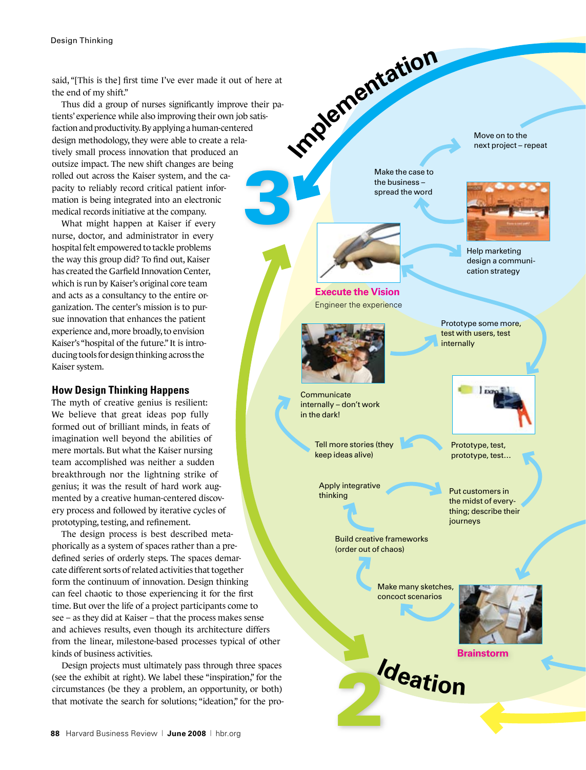said, "[This is the] first time I've ever made it out of here at the end of my shift."

Thus did a group of nurses significantly improve their patients' experience while also improving their own job satisfaction and productivity. By applying a human-centered design methodology, they were able to create a relatively small process innovation that produced an outsize impact. The new shift changes are being rolled out across the Kaiser system, and the capacity to reliably record critical patient information is being integrated into an electronic medical records initiative at the company. 3

What might happen at Kaiser if every nurse, doctor, and administrator in every hospital felt empowered to tackle problems the way this group did? To find out, Kaiser has created the Garfield Innovation Center, which is run by Kaiser's original core team and acts as a consultancy to the entire organization. The center's mission is to pursue innovation that enhances the patient experience and, more broadly, to envision Kaiser's "hospital of the future." It is introducing tools for design thinking across the Kaiser system.

## **How Design Thinking Happens**

The myth of creative genius is resilient: We believe that great ideas pop fully formed out of brilliant minds, in feats of imagination well beyond the abilities of mere mortals. But what the Kaiser nursing team accomplished was neither a sudden breakthrough nor the lightning strike of genius; it was the result of hard work augmented by a creative human-centered discovery process and followed by iterative cycles of prototyping, testing, and refinement.

The design process is best described metaphorically as a system of spaces rather than a predefined series of orderly steps. The spaces demarcate different sorts of related activities that together form the continuum of innovation. Design thinking can feel chaotic to those experiencing it for the first time. But over the life of a project participants come to see – as they did at Kaiser – that the process makes sense and achieves results, even though its architecture differs from the linear, milestone-based processes typical of other kinds of business activities.

Design projects must ultimately pass through three spaces (see the exhibit at right). We label these "inspiration," for the circumstances (be they a problem, an opportunity, or both) that motivate the search for solutions; "ideation," for the pro-

Make the case to the business – spread the word **Implementatio<sup>n</sup>**



**Execute the Vision** Engineer the experience



**Communicate** internally – don't work in the dark!

Tell more stories (they keep ideas alive)

Apply integrative thinking

> Build creative frameworks (order out of chaos)

Move on to the next project – repeat



Help marketing design a communication strategy

Prototype some more, test with users, test internally



Prototype, test, prototype, test…

Put customers in the midst of everything; describe their journeys

Make many sketches, concoct scenarios



**Brainstorm**

2 **<sup>I</sup>deatio<sup>n</sup>**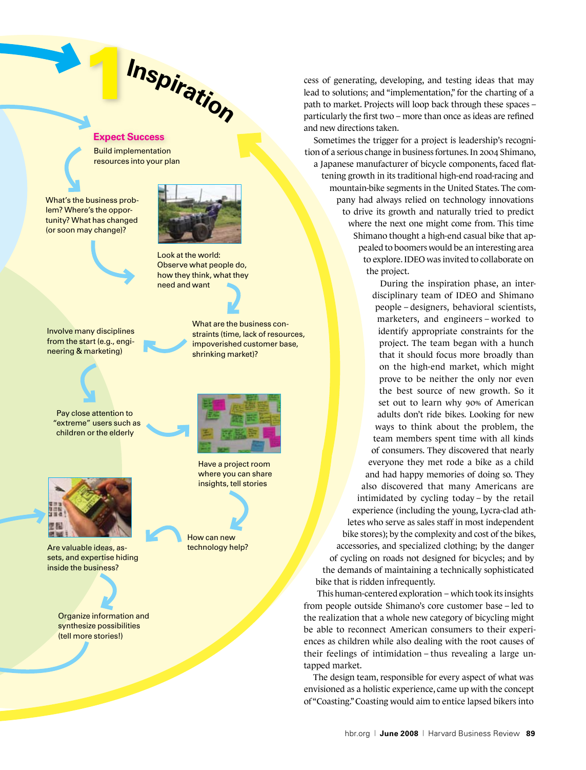# **Expect Success**

1

Build implementation resources into your plan

What's the business problem? Where's the opportunity? What has changed (or soon may change)?



**<sup>I</sup>nspiratio<sup>n</sup>**

Look at the world: Observe what people do, how they think, what they need and want

Involve many disciplines from the start (e.g., engineering & marketing)

Pay close attention to "extreme" users such as children or the elderly



Are valuable ideas, assets, and expertise hiding inside the business?

> Organize information and synthesize possibilities (tell more stories!)

What are the business constraints (time, lack of resources, impoverished customer base, shrinking market)?

Have a project room where you can share insights, tell stories



cess of generating, developing, and testing ideas that may lead to solutions; and "implementation," for the charting of a path to market. Projects will loop back through these spaces – particularly the first two – more than once as ideas are refined and new directions taken.

Sometimes the trigger for a project is leadership's recognition of a serious change in business fortunes. In 2004 Shimano, a Japanese manufacturer of bicycle components, faced flattening growth in its traditional high-end road-racing and mountain-bike segments in the United States. The company had always relied on technology innovations to drive its growth and naturally tried to predict where the next one might come from. This time Shimano thought a high-end casual bike that appealed to boomers would be an interesting area to explore. IDEO was invited to collaborate on the project.

During the inspiration phase, an interdisciplinary team of IDEO and Shimano people – designers, behavioral scientists, marketers, and engineers – worked to identify appropriate constraints for the project. The team began with a hunch that it should focus more broadly than on the high-end market, which might prove to be neither the only nor even the best source of new growth. So it set out to learn why 90% of American adults don't ride bikes. Looking for new ways to think about the problem, the team members spent time with all kinds of consumers. They discovered that nearly everyone they met rode a bike as a child and had happy memories of doing so. They also discovered that many Americans are intimidated by cycling today – by the retail experience (including the young, Lycra-clad athletes who serve as sales staff in most independent bike stores); by the complexity and cost of the bikes, accessories, and specialized clothing; by the danger of cycling on roads not designed for bicycles; and by the demands of maintaining a technically sophisticated bike that is ridden infrequently.

This human-centered exploration – which took its insights from people outside Shimano's core customer base – led to the realization that a whole new category of bicycling might be able to reconnect American consumers to their experiences as children while also dealing with the root causes of their feelings of intimidation – thus revealing a large untapped market.

The design team, responsible for every aspect of what was envisioned as a holistic experience, came up with the concept of "Coasting." Coasting would aim to entice lapsed bikers into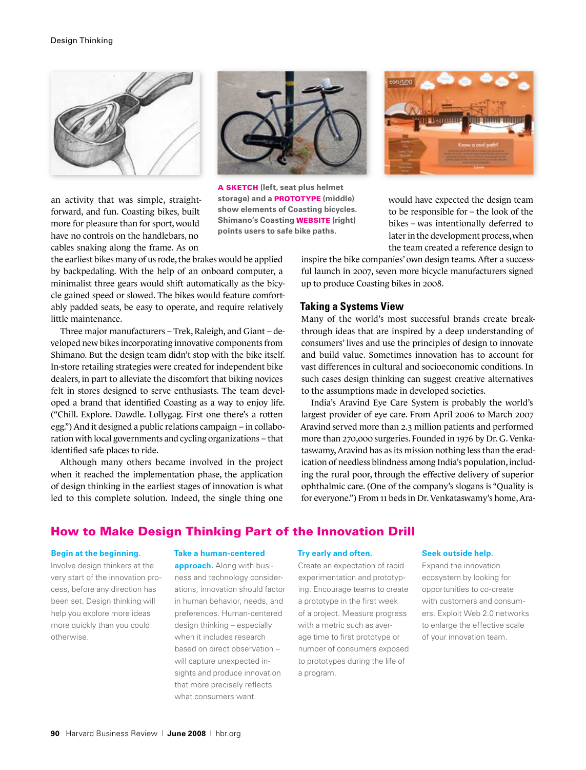

an activity that was simple, straightforward, and fun. Coasting bikes, built more for pleasure than for sport, would have no controls on the handlebars, no cables snaking along the frame. As on



A SKETCH **(left, seat plus helmet**  storage) and a **PROTOTYPE** (middle) **show elements of Coasting bicycles. Shimano's Coasting** WEBSITE **(right) points users to safe bike paths.**



would have expected the design team to be responsible for – the look of the bikes – was intentionally deferred to later in the development process, when the team created a reference design to

the earliest bikes many of us rode, the brakes would be applied by backpedaling. With the help of an onboard computer, a minimalist three gears would shift automatically as the bicycle gained speed or slowed. The bikes would feature comfortably padded seats, be easy to operate, and require relatively little maintenance.

Three major manufacturers – Trek, Raleigh, and Giant – developed new bikes incorporating innovative components from Shimano. But the design team didn't stop with the bike itself. In-store retailing strategies were created for independent bike dealers, in part to alleviate the discomfort that biking novices felt in stores designed to serve enthusiasts. The team developed a brand that identified Coasting as a way to enjoy life. ("Chill. Explore. Dawdle. Lollygag. First one there's a rotten egg.") And it designed a public relations campaign – in collaboration with local governments and cycling organizations – that identified safe places to ride.

Although many others became involved in the project when it reached the implementation phase, the application of design thinking in the earliest stages of innovation is what led to this complete solution. Indeed, the single thing one

inspire the bike companies' own design teams. After a successful launch in 2007, seven more bicycle manufacturers signed up to produce Coasting bikes in 2008.

# **Taking a Systems View**

Many of the world's most successful brands create breakthrough ideas that are inspired by a deep understanding of consumers' lives and use the principles of design to innovate and build value. Sometimes innovation has to account for vast differences in cultural and socioeconomic conditions. In such cases design thinking can suggest creative alternatives to the assumptions made in developed societies.

India's Aravind Eye Care System is probably the world's largest provider of eye care. From April 2006 to March 2007 Aravind served more than 2.3 million patients and performed more than 270,000 surgeries. Founded in 1976 by Dr. G. Venkataswamy, Aravind has as its mission nothing less than the eradication of needless blindness among India's population, including the rural poor, through the effective delivery of superior ophthalmic care. (One of the company's slogans is "Quality is for everyone.") From 11 beds in Dr. Venkataswamy's home, Ara-

# How to Make Design Thinking Part of the Innovation Drill

#### **Begin at the beginning.**

Involve design thinkers at the very start of the innovation process, before any direction has been set. Design thinking will help you explore more ideas more quickly than you could otherwise.

#### **Take a human-centered**

**approach.** Along with business and technology considerations, innovation should factor in human behavior, needs, and preferences. Human-centered design thinking – especially when it includes research based on direct observation – will capture unexpected insights and produce innovation that more precisely reflects what consumers want.

#### **Try early and often.**

Create an expectation of rapid experimentation and prototyping. Encourage teams to create a prototype in the first week of a project. Measure progress with a metric such as average time to first prototype or number of consumers exposed to prototypes during the life of a program.

#### **Seek outside help.**

Expand the innovation ecosystem by looking for opportunities to co-create with customers and consumers. Exploit Web 2.0 networks to enlarge the effective scale of your innovation team.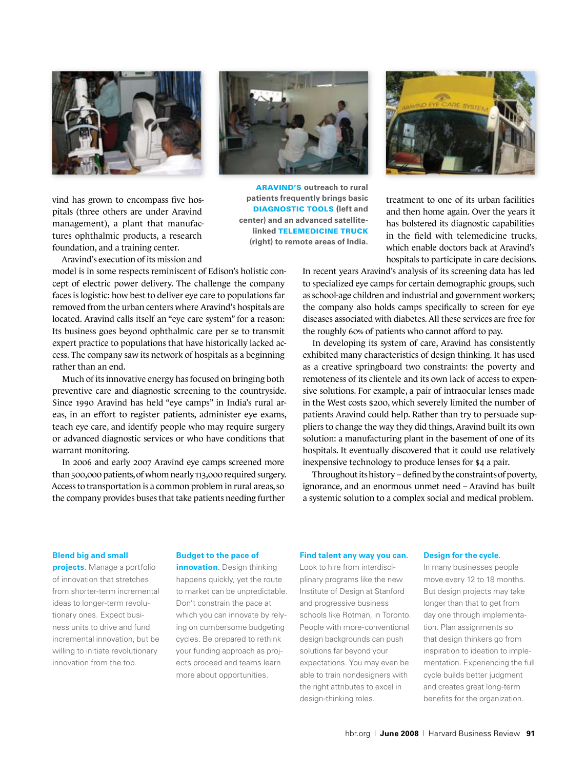

vind has grown to encompass five hospitals (three others are under Aravind management), a plant that manufactures ophthalmic products, a research foundation, and a training center.

Aravind's execution of its mission and



**ARAVIND'S outreach to rural patients frequently brings basic DIAGNOSTIC TOOLS (left and center) and an advanced satellitelinked TELEMEDICINE TRUCK (right) to remote areas of India.**



treatment to one of its urban facilities and then home again. Over the years it has bolstered its diagnostic capabilities in the field with telemedicine trucks, which enable doctors back at Aravind's hospitals to participate in care decisions.

model is in some respects reminiscent of Edison's holistic concept of electric power delivery. The challenge the company faces is logistic: how best to deliver eye care to populations far removed from the urban centers where Aravind's hospitals are located. Aravind calls itself an "eye care system" for a reason: Its business goes beyond ophthalmic care per se to transmit expert practice to populations that have historically lacked access. The company saw its network of hospitals as a beginning rather than an end.

Much of its innovative energy has focused on bringing both preventive care and diagnostic screening to the countryside. Since 1990 Aravind has held "eye camps" in India's rural areas, in an effort to register patients, administer eye exams, teach eye care, and identify people who may require surgery or advanced diagnostic services or who have conditions that warrant monitoring.

In 2006 and early 2007 Aravind eye camps screened more than 500,000 patients, of whom nearly 113,000 required surgery. Access to transportation is a common problem in rural areas, so the company provides buses that take patients needing further In recent years Aravind's analysis of its screening data has led to specialized eye camps for certain demographic groups, such as school-age children and industrial and government workers; the company also holds camps specifically to screen for eye diseases associated with diabetes. All these services are free for the roughly 60% of patients who cannot afford to pay.

In developing its system of care, Aravind has consistently exhibited many characteristics of design thinking. It has used as a creative springboard two constraints: the poverty and remoteness of its clientele and its own lack of access to expensive solutions. For example, a pair of intraocular lenses made in the West costs \$200, which severely limited the number of patients Aravind could help. Rather than try to persuade suppliers to change the way they did things, Aravind built its own solution: a manufacturing plant in the basement of one of its hospitals. It eventually discovered that it could use relatively inexpensive technology to produce lenses for \$4 a pair.

Throughout its history – defined by the constraints of poverty, ignorance, and an enormous unmet need – Aravind has built a systemic solution to a complex social and medical problem.

# **Blend big and small**

**projects.** Manage a portfolio of innovation that stretches from shorter-term incremental ideas to longer-term revolutionary ones. Expect business units to drive and fund incremental innovation, but be willing to initiate revolutionary innovation from the top.

#### **Budget to the pace of**

**innovation.** Design thinking happens quickly, yet the route to market can be unpredictable. Don't constrain the pace at which you can innovate by relying on cumbersome budgeting cycles. Be prepared to rethink your funding approach as projects proceed and teams learn more about opportunities.

### **Find talent any way you can.**

Look to hire from interdisciplinary programs like the new Institute of Design at Stanford and progressive business schools like Rotman, in Toronto. People with more-conventional design backgrounds can push solutions far beyond your expectations. You may even be able to train nondesigners with the right attributes to excel in design-thinking roles.

#### **Design for the cycle.**

In many businesses people move every 12 to 18 months. But design projects may take longer than that to get from day one through implementation. Plan assignments so that design thinkers go from inspiration to ideation to implementation. Experiencing the full cycle builds better judgment and creates great long-term benefits for the organization.